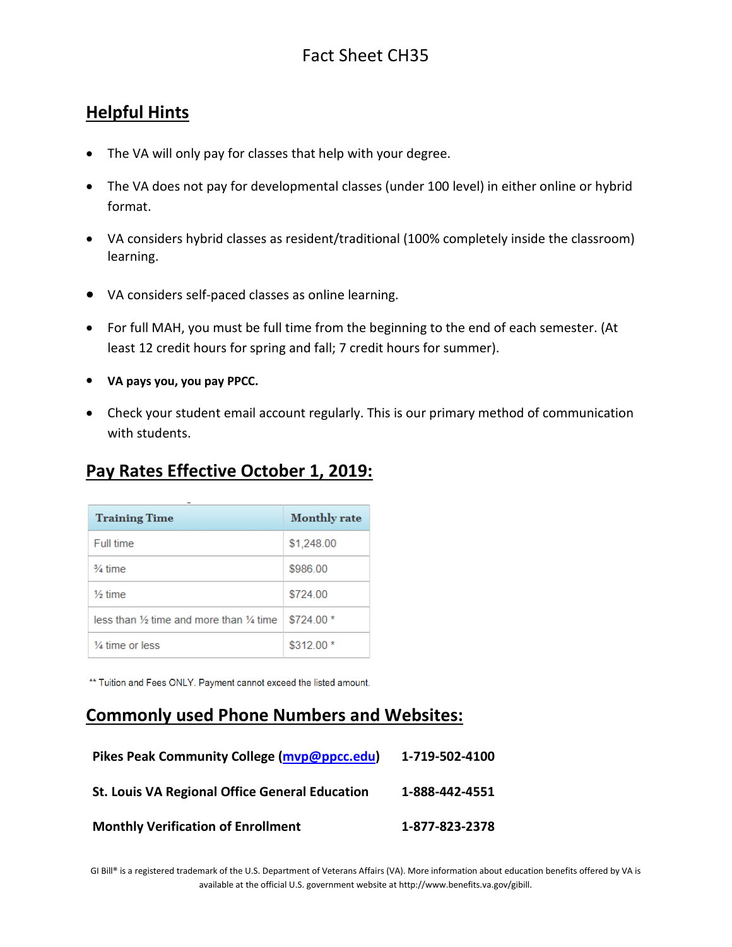### **Helpful Hints**

- The VA will only pay for classes that help with your degree.
- The VA does not pay for developmental classes (under 100 level) in either online or hybrid format.
- VA considers hybrid classes as resident/traditional (100% completely inside the classroom) learning.
- VA considers self-paced classes as online learning.
- For full MAH, you must be full time from the beginning to the end of each semester. (At least 12 credit hours for spring and fall; 7 credit hours for summer).
- **VA pays you, you pay PPCC.**
- Check your student email account regularly. This is our primary method of communication with students.

### **Pay Rates Effective October 1, 2019:**

| <b>Training Time</b>                                          | <b>Monthly rate</b> |
|---------------------------------------------------------------|---------------------|
| Full time                                                     | \$1,248.00          |
| $\frac{3}{4}$ time                                            | \$986.00            |
| $1/2$ time                                                    | \$724.00            |
| less than $\frac{1}{2}$ time and more than $\frac{1}{4}$ time | $$724.00*$          |
| $\frac{1}{4}$ time or less                                    | $$312.00*$          |

\*\* Tuition and Fees ONLY. Payment cannot exceed the listed amount.

#### **Commonly used Phone Numbers and Websites:**

| <b>Pikes Peak Community College (mvp@ppcc.edu)</b>    | 1-719-502-4100 |
|-------------------------------------------------------|----------------|
| <b>St. Louis VA Regional Office General Education</b> | 1-888-442-4551 |
| <b>Monthly Verification of Enrollment</b>             | 1-877-823-2378 |

GI Bill® is a registered trademark of the U.S. Department of Veterans Affairs (VA). More information about education benefits offered by VA is available at the official U.S. government website a[t http://www.benefits.va.gov/gibill.](http://www.benefits.va.gov/gibill)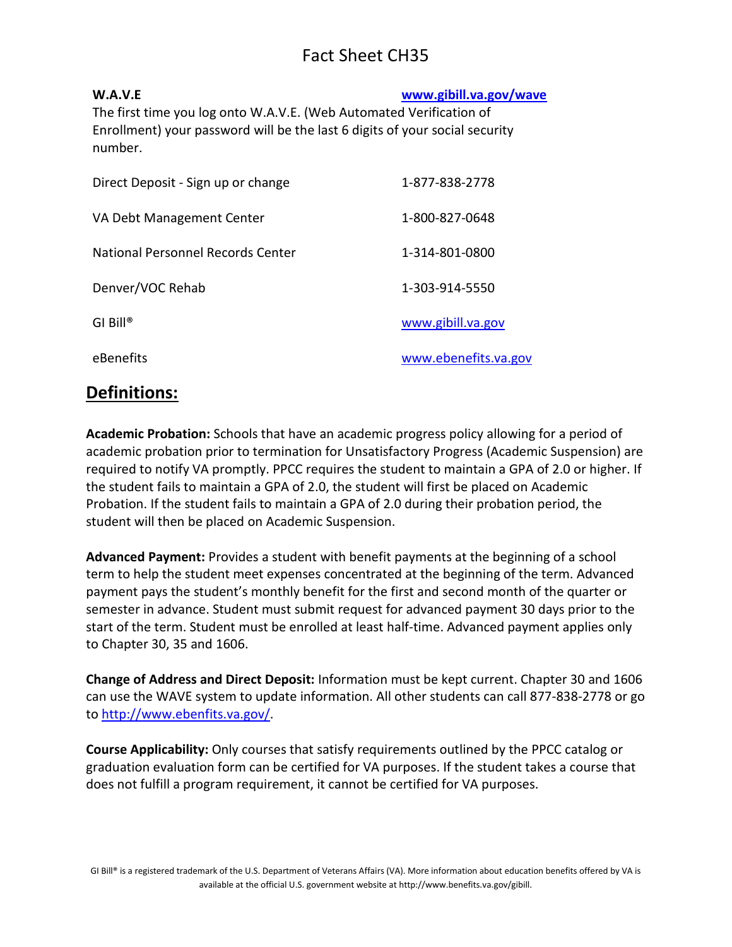## Fact Sheet CH35

| W.A.V.E                                                                     | www.gibill.va.gov/wave |
|-----------------------------------------------------------------------------|------------------------|
| The first time you log onto W.A.V.E. (Web Automated Verification of         |                        |
| Enrollment) your password will be the last 6 digits of your social security |                        |
| number.                                                                     |                        |
|                                                                             |                        |

| Direct Deposit - Sign up or change | 1-877-838-2778       |
|------------------------------------|----------------------|
| VA Debt Management Center          | 1-800-827-0648       |
| National Personnel Records Center  | 1-314-801-0800       |
| Denver/VOC Rehab                   | 1-303-914-5550       |
| $GI$ Bill <sup>®</sup>             | www.gibill.va.gov    |
| eBenefits                          | www.ebenefits.va.gov |

#### **Definitions:**

**Academic Probation:** Schools that have an academic progress policy allowing for a period of academic probation prior to termination for Unsatisfactory Progress (Academic Suspension) are required to notify VA promptly. PPCC requires the student to maintain a GPA of 2.0 or higher. If the student fails to maintain a GPA of 2.0, the student will first be placed on Academic Probation. If the student fails to maintain a GPA of 2.0 during their probation period, the student will then be placed on Academic Suspension.

**Advanced Payment:** Provides a student with benefit payments at the beginning of a school term to help the student meet expenses concentrated at the beginning of the term. Advanced payment pays the student's monthly benefit for the first and second month of the quarter or semester in advance. Student must submit request for advanced payment 30 days prior to the start of the term. Student must be enrolled at least half-time. Advanced payment applies only to Chapter 30, 35 and 1606.

**Change of Address and Direct Deposit:** Information must be kept current. Chapter 30 and 1606 can use the WAVE system to update information. All other students can call 877-838-2778 or go to [http://www.ebenfits.va.gov/.](http://www.ebenfits.va.gov/)

**Course Applicability:** Only courses that satisfy requirements outlined by the PPCC catalog or graduation evaluation form can be certified for VA purposes. If the student takes a course that does not fulfill a program requirement, it cannot be certified for VA purposes.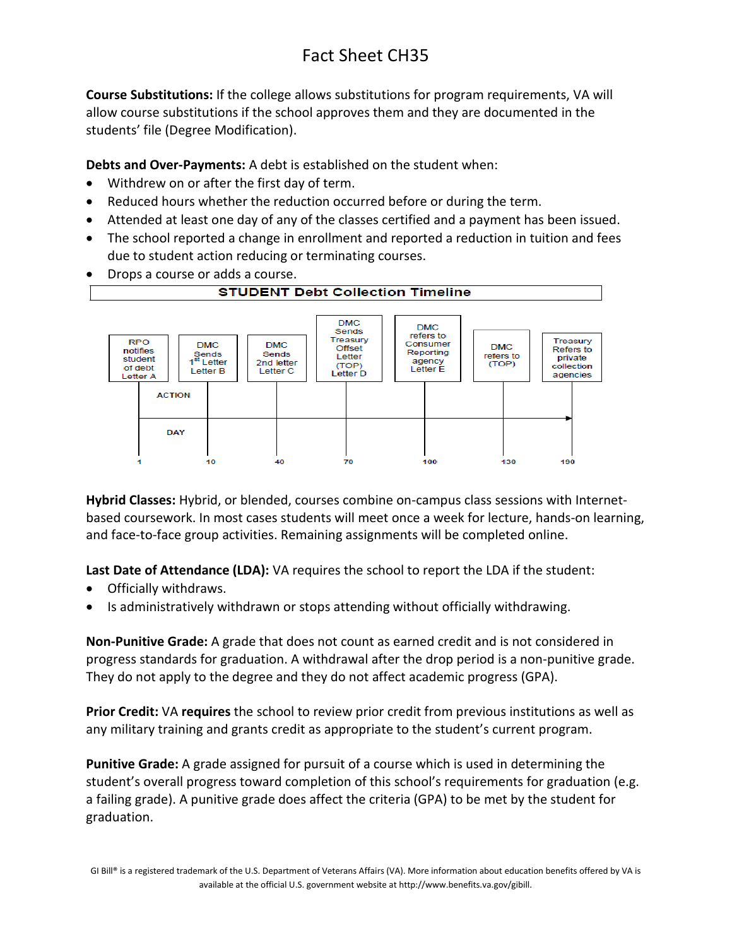# Fact Sheet CH35

**Course Substitutions:** If the college allows substitutions for program requirements, VA will allow course substitutions if the school approves them and they are documented in the students' file (Degree Modification).

**Debts and Over-Payments:** A debt is established on the student when:

- Withdrew on or after the first day of term.
- Reduced hours whether the reduction occurred before or during the term.
- Attended at least one day of any of the classes certified and a payment has been issued.
- The school reported a change in enrollment and reported a reduction in tuition and fees due to student action reducing or terminating courses.
- Drops a course or adds a course.



**Hybrid Classes:** Hybrid, or blended, courses combine on-campus class sessions with Internetbased coursework. In most cases students will meet once a week for lecture, hands-on learning, and face-to-face group activities. Remaining assignments will be completed online.

**Last Date of Attendance (LDA):** VA requires the school to report the LDA if the student:

- Officially withdraws.
- Is administratively withdrawn or stops attending without officially withdrawing.

**Non-Punitive Grade:** A grade that does not count as earned credit and is not considered in progress standards for graduation. A withdrawal after the drop period is a non-punitive grade. They do not apply to the degree and they do not affect academic progress (GPA).

**Prior Credit:** VA **requires** the school to review prior credit from previous institutions as well as any military training and grants credit as appropriate to the student's current program.

**Punitive Grade:** A grade assigned for pursuit of a course which is used in determining the student's overall progress toward completion of this school's requirements for graduation (e.g. a failing grade). A punitive grade does affect the criteria (GPA) to be met by the student for graduation.